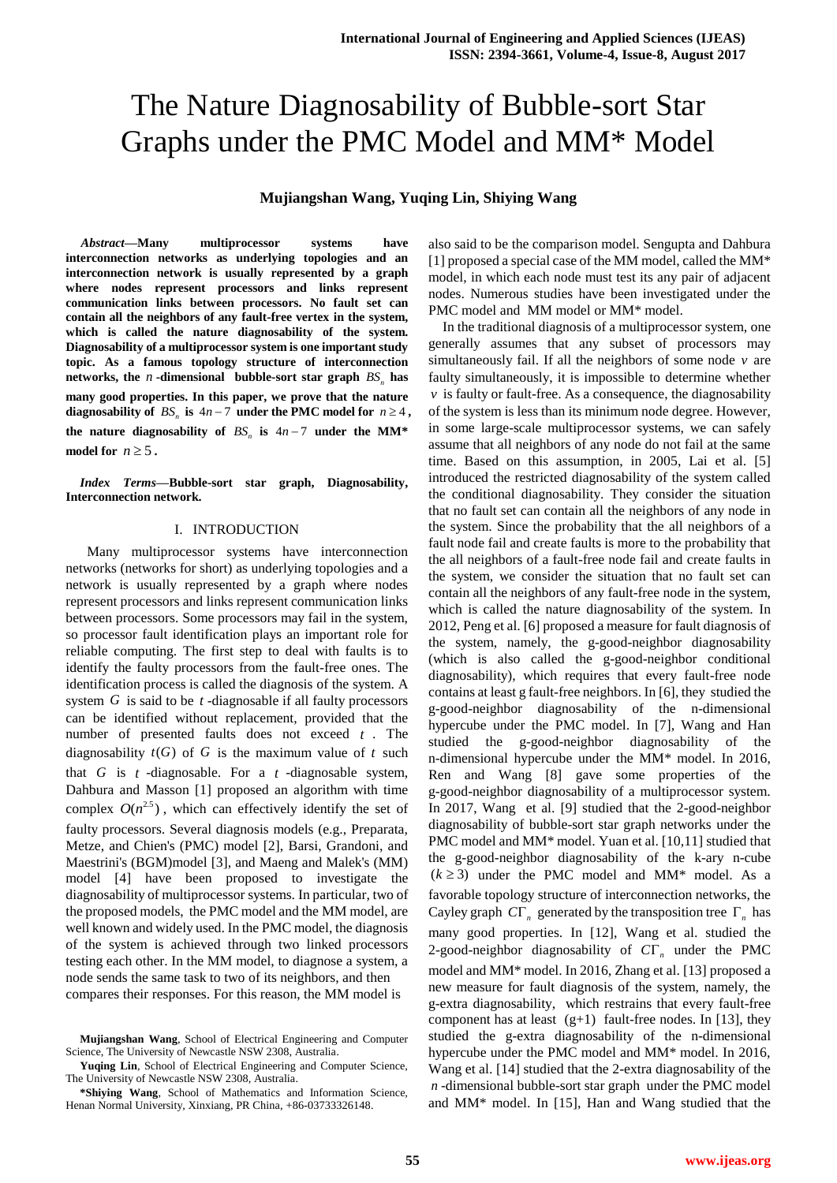# The Nature Diagnosability of Bubble-sort Star Graphs under the PMC Model and MM\* Model

## **Mujiangshan Wang, Yuqing Lin, Shiying Wang**

*Abstract***—Many multiprocessor systems have interconnection networks as underlying topologies and an interconnection network is usually represented by a graph where nodes represent processors and links represent communication links between processors. No fault set can contain all the neighbors of any fault-free vertex in the system, which is called the nature diagnosability of the system. Diagnosability of a multiprocessor system is one important study topic. As a famous topology structure of interconnection**  networks, the  $n$ -dimensional bubble-sort star graph  $BS_n$  has **many good properties. In this paper, we prove that the nature**  diagnosability of  $BS_n$  is  $4n-7$  under the PMC model for  $n \ge 4$ , the nature diagnosability of  $BS_n$  is  $4n - 7$  under the MM\* model for  $n \geq 5$ .

*Index Terms***—Bubble-sort star graph, Diagnosability, Interconnection network.** 

## I. INTRODUCTION

 Many multiprocessor systems have interconnection networks (networks for short) as underlying topologies and a network is usually represented by a graph where nodes represent processors and links represent communication links between processors. Some processors may fail in the system, so processor fault identification plays an important role for reliable computing. The first step to deal with faults is to identify the faulty processors from the fault-free ones. The identification process is called the diagnosis of the system. A system  $G$  is said to be  $t$ -diagnosable if all faulty processors can be identified without replacement, provided that the number of presented faults does not exceed *t* . The diagnosability  $t(G)$  of G is the maximum value of t such that  $G$  is  $t$  -diagnosable. For a  $t$  -diagnosable system, Dahbura and Masson [1] proposed an algorithm with time complex  $O(n^{2.5})$ , which can effectively identify the set of faulty processors. Several diagnosis models (e.g., Preparata, Metze, and Chien's (PMC) model [2], Barsi, Grandoni, and Maestrini's (BGM)model [3], and Maeng and Malek's (MM) model [4] have been proposed to investigate the diagnosability of multiprocessor systems. In particular, two of the proposed models, the PMC model and the MM model, are well known and widely used. In the PMC model, the diagnosis of the system is achieved through two linked processors testing each other. In the MM model, to diagnose a system, a node sends the same task to two of its neighbors, and then compares their responses. For this reason, the MM model is

also said to be the comparison model. Sengupta and Dahbura [1] proposed a special case of the MM model, called the MM\* model, in which each node must test its any pair of adjacent nodes. Numerous studies have been investigated under the PMC model and MM model or MM<sup>\*</sup> model.

In the traditional diagnosis of a multiprocessor system, one generally assumes that any subset of processors may simultaneously fail. If all the neighbors of some node  $\nu$  are faulty simultaneously, it is impossible to determine whether  $\nu$  is faulty or fault-free. As a consequence, the diagnosability of the system is less than its minimum node degree. However, in some large-scale multiprocessor systems, we can safely assume that all neighbors of any node do not fail at the same time. Based on this assumption, in 2005, Lai et al. [5] introduced the restricted diagnosability of the system called the conditional diagnosability. They consider the situation that no fault set can contain all the neighbors of any node in the system. Since the probability that the all neighbors of a fault node fail and create faults is more to the probability that the all neighbors of a fault-free node fail and create faults in the system, we consider the situation that no fault set can contain all the neighbors of any fault-free node in the system, which is called the nature diagnosability of the system. In 2012, Peng et al. [6] proposed a measure for fault diagnosis of the system, namely, the g-good-neighbor diagnosability (which is also called the g-good-neighbor conditional diagnosability), which requires that every fault-free node contains at least g fault-free neighbors. In [6], they studied the g-good-neighbor diagnosability of the n-dimensional hypercube under the PMC model. In [7], Wang and Han studied the g-good-neighbor diagnosability of the n-dimensional hypercube under the MM\* model. In 2016, Ren and Wang [8] gave some properties of the g-good-neighbor diagnosability of a multiprocessor system. In 2017, Wang et al. [9] studied that the 2-good-neighbor diagnosability of bubble-sort star graph networks under the PMC model and MM<sup>\*</sup> model. Yuan et al. [10,11] studied that the g-good-neighbor diagnosability of the k-ary n-cube  $(k \ge 3)$  under the PMC model and MM\* model. As a favorable topology structure of interconnection networks, the Cayley graph  $C\Gamma_n$  generated by the transposition tree  $\Gamma_n$  has many good properties. In [12], Wang et al. studied the 2-good-neighbor diagnosability of  $C\Gamma_n$  under the PMC model and MM\* model. In 2016, Zhang et al. [13] proposed a new measure for fault diagnosis of the system, namely, the g-extra diagnosability, which restrains that every fault-free component has at least  $(g+1)$  fault-free nodes. In [13], they studied the g-extra diagnosability of the n-dimensional hypercube under the PMC model and MM\* model. In 2016, Wang et al. [14] studied that the 2-extra diagnosability of the *n* -dimensional bubble-sort star graph under the PMC model and MM\* model. In [15], Han and Wang studied that the

**Mujiangshan Wang**, School of Electrical Engineering and Computer Science, The University of Newcastle NSW 2308, Australia.

**Yuqing Lin**, School of Electrical Engineering and Computer Science, The University of Newcastle NSW 2308, Australia.

**<sup>\*</sup>Shiying Wang**, School of Mathematics and Information Science, Henan Normal University, Xinxiang, PR China, +86-03733326148.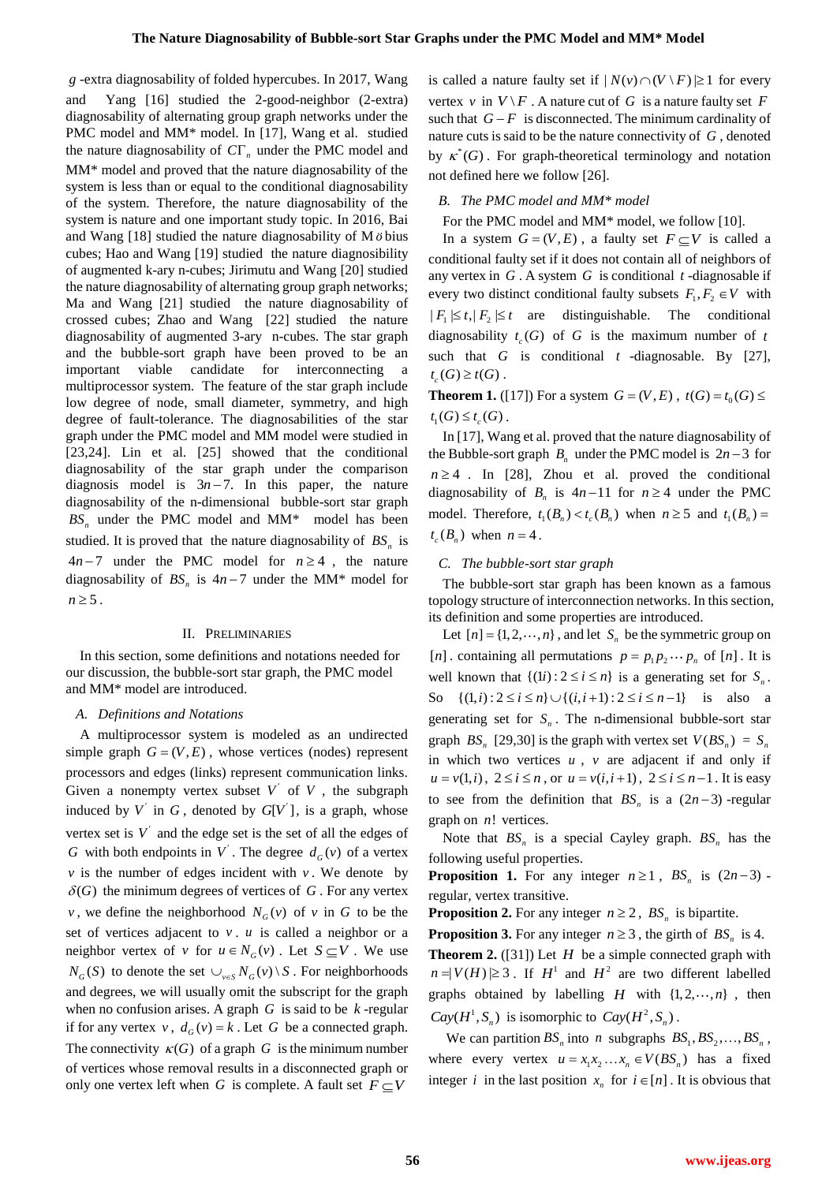*g* -extra diagnosability of folded hypercubes. In 2017, Wang and Yang [16] studied the 2-good-neighbor (2-extra) diagnosability of alternating group graph networks under the PMC model and MM<sup>\*</sup> model. In [17], Wang et al. studied the nature diagnosability of  $C\Gamma_n$  under the PMC model and MM\* model and proved that the nature diagnosability of the system is less than or equal to the conditional diagnosability of the system. Therefore, the nature diagnosability of the system is nature and one important study topic. In 2016, Bai and Wang [18] studied the nature diagnosability of M  $\ddot{o}$  bius cubes; Hao and Wang [19] studied the nature diagnosibility of augmented k-ary n-cubes; Jirimutu and Wang [20] studied the nature diagnosability of alternating group graph networks; Ma and Wang [21] studied the nature diagnosability of crossed cubes; Zhao and Wang [22] studied the nature diagnosability of augmented 3-ary n-cubes. The star graph and the bubble-sort graph have been proved to be an important viable candidate for interconnecting a multiprocessor system. The feature of the star graph include low degree of node, small diameter, symmetry, and high degree of fault-tolerance. The diagnosabilities of the star graph under the PMC model and MM model were studied in [23,24]. Lin et al. [25] showed that the conditional diagnosability of the star graph under the comparison diagnosis model is  $3n-7$ . In this paper, the nature diagnosability of the n-dimensional bubble-sort star graph *BS<sup>n</sup>* under the PMC model and MM\* model has been studied. It is proved that the nature diagnosability of *BS<sup>n</sup>* is  $4n-7$  under the PMC model for  $n \ge 4$ , the nature diagnosability of  $BS_n$  is  $4n-7$  under the MM\* model for  $n \geq 5$ .

## II. PRELIMINARIES

In this section, some definitions and notations needed for our discussion, the bubble-sort star graph, the PMC model and MM\* model are introduced.

#### *A. Definitions and Notations*

A multiprocessor system is modeled as an undirected simple graph  $G = (V, E)$ , whose vertices (nodes) represent processors and edges (links) represent communication links. Given a nonempty vertex subset  $V'$  of  $V$ , the subgraph induced by  $V'$  in  $G$ , denoted by  $G[V']$ , is a graph, whose vertex set is  $V'$  and the edge set is the set of all the edges of *G* with both endpoints in  $V'$ . The degree  $d_G(v)$  of a vertex  $\nu$  is the number of edges incident with  $\nu$ . We denote by  $\delta(G)$  the minimum degrees of vertices of G. For any vertex *v*, we define the neighborhood  $N_G(v)$  of *v* in *G* to be the set of vertices adjacent to  $v \cdot u$  is called a neighbor or a neighbor vertex of v for  $u \in N_G(v)$ . Let  $S \subseteq V$ . We use  $N_G(S)$  to denote the set  $\cup_{v \in S} N_G(v) \setminus S$ . For neighborhoods and degrees, we will usually omit the subscript for the graph when no confusion arises. A graph  $G$  is said to be  $k$ -regular if for any vertex  $v$ ,  $d_G(v) = k$ . Let G be a connected graph. The connectivity  $\kappa(G)$  of a graph G is the minimum number of vertices whose removal results in a disconnected graph or only one vertex left when G is complete. A fault set  $F \subseteq V$ 

is called a nature faulty set if  $|N(v) \cap (V \setminus F)| \ge 1$  for every vertex v in  $V \setminus F$ . A nature cut of G is a nature faulty set F such that  $G - F$  is disconnected. The minimum cardinality of nature cuts is said to be the nature connectivity of *G* , denoted by  $\kappa^*(G)$ . For graph-theoretical terminology and notation not defined here we follow [26].

#### *B. The PMC model and MM\* model*

For the PMC model and MM\* model, we follow [10].

In a system  $G = (V, E)$ , a faulty set  $F \subseteq V$  is called a conditional faulty set if it does not contain all of neighbors of any vertex in  $G$ . A system  $G$  is conditional  $t$ -diagnosable if every two distinct conditional faulty subsets  $F_1, F_2 \in V$  with  $|F_1| \leq t$ ,  $|F_2| \leq t$  are distinguishable. The conditional diagnosability  $t_c(G)$  of G is the maximum number of t such that  $G$  is conditional  $t$  -diagnosable. By [27],  $t_c(G) \ge t(G)$ .

**Theorem 1.** ([17]) For a system  $G = (V, E)$ ,  $t(G) = t_0(G) \le$  $t_1(G) \leq t_c(G)$ .

In [17], Wang et al. proved that the nature diagnosability of the Bubble-sort graph  $B_n$  under the PMC model is  $2n-3$  for  $n \geq 4$ . In [28], Zhou et al. proved the conditional diagnosability of  $B_n$  is  $4n-11$  for  $n \ge 4$  under the PMC model. Therefore,  $t_1(B_n) < t_c(B_n)$  when  $n \ge 5$  and  $t_1(B_n) =$  $t_c$  ( $B_n$ ) when  $n = 4$ .

#### *C. The bubble-sort star graph*

The bubble-sort star graph has been known as a famous topology structure of interconnection networks. In this section, its definition and some properties are introduced.

Let  $[n] = \{1, 2, \dots, n\}$ , and let  $S_n$  be the symmetric group on [*n*]. containing all permutations  $p = p_1 p_2 \cdots p_n$  of [*n*]. It is well known that  $\{(1i): 2 \le i \le n\}$  is a generating set for  $S_n$ . well known that  $\{(1) : 2 \le i \le n\}$  is a generating set for  $S_n$ .<br>So  $\{(1,i): 2 \le i \le n\} \cup \{(i,i+1): 2 \le i \le n-1\}$  is also a generating set for  $S_n$ . The n-dimensional bubble-sort star graph  $BS_n$  [29,30] is the graph with vertex set  $V(BS_n) = S_n$ in which two vertices *u* , *v* are adjacent if and only if  $u = v(1, i)$ ,  $2 \le i \le n$ , or  $u = v(i, i + 1)$ ,  $2 \le i \le n - 1$ . It is easy to see from the definition that  $BS_n$  is a  $(2n-3)$  -regular graph on *n*! vertices.

Note that  $BS_n$  is a special Cayley graph.  $BS_n$  has the following useful properties.

**Proposition 1.** For any integer  $n \ge 1$ ,  $BS_n$  is  $(2n-3)$ . regular, vertex transitive.

**Proposition 2.** For any integer  $n \ge 2$ ,  $BS_n$  is bipartite.

**Proposition 3.** For any integer  $n \ge 3$ , the girth of  $BS_n$  is 4.

**Theorem 2.** ([31]) Let  $H$  be a simple connected graph with  $n = |V(H)| \ge 3$ . If  $H^1$  and  $H^2$  are two different labelled graphs obtained by labelling  $H$  with  $\{1, 2, \dots, n\}$ , then  $Cay(H^1, S_n)$  is isomorphic to  $Cay(H^2, S_n)$ .

We can partition  $BS_n$  into *n* subgraphs  $BS_1, BS_2, \ldots, BS_n$ , where every vertex  $u = x_1 x_2 ... x_n \in V(BS_n)$  has a fixed integer *i* in the last position  $x_n$  for  $i \in [n]$ . It is obvious that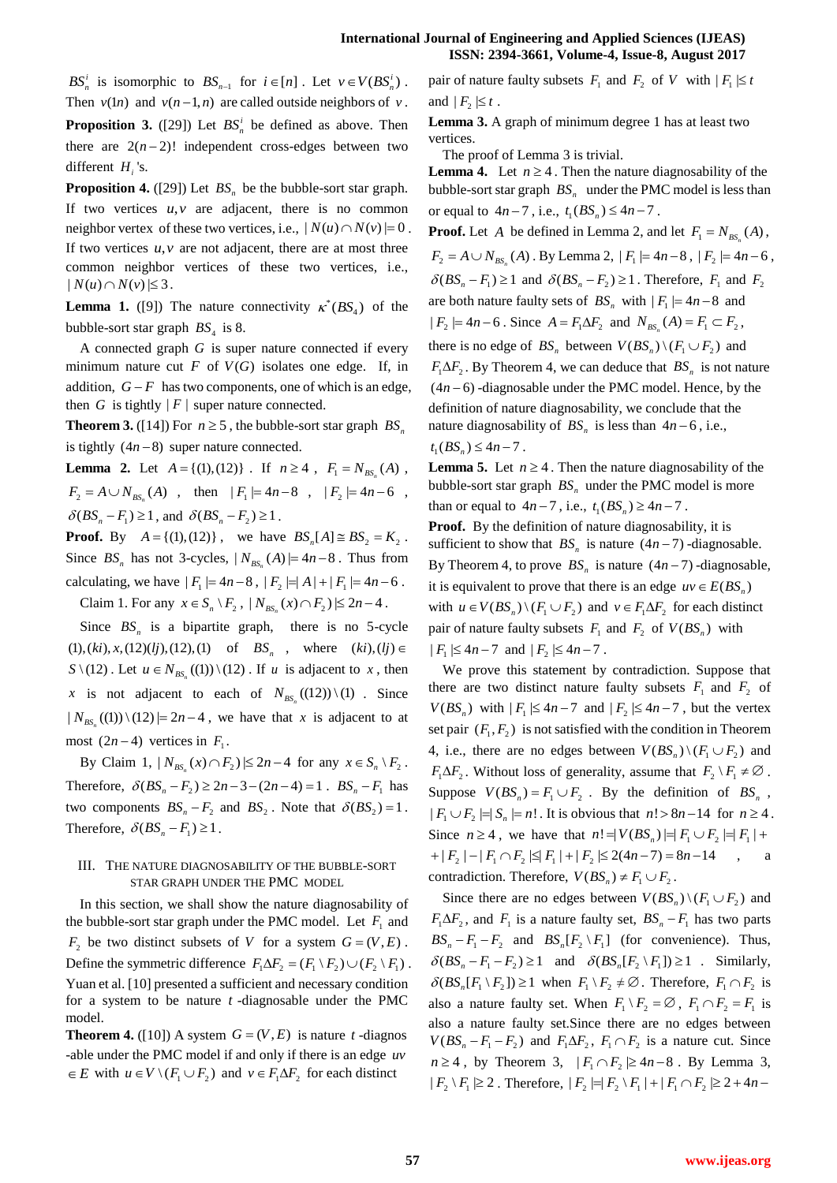*BS*<sup>*i*</sup></sup> is isomorphic to  $BS_{n-1}$  for  $i \in [n]$ . Let  $v \in V(BS_n^i)$ . Then  $v(1n)$  and  $v(n-1,n)$  are called outside neighbors of v. **Proposition 3.** ([29]) Let  $BS_n^i$  be defined as above. Then there are  $2(n-2)!$  independent cross-edges between two different  $H_i$ 's.

**Proposition 4.** ([29]) Let  $BS_n$  be the bubble-sort star graph. If two vertices  $u, v$  are adjacent, there is no common neighbor vertex of these two vertices, i.e.,  $|N(u) \cap N(v)| = 0$ . If two vertices  $u, v$  are not adjacent, there are at most three common neighbor vertices of these two vertices, i.e.,  $| N(u) \cap N(v) | \leq 3$ .

**Lemma 1.** ([9]) The nature connectivity  $\kappa^*(BS_4)$  of the bubble-sort star graph  $BS_4$  is 8.

A connected graph *G* is super nature connected if every minimum nature cut  $F$  of  $V(G)$  isolates one edge. If, in addition,  $G - F$  has two components, one of which is an edge, then  $G$  is tightly  $|F|$  super nature connected.

**Theorem 3.** ([14]) For  $n \ge 5$ , the bubble-sort star graph  $BS_n$ is tightly  $(4n-8)$  super nature connected.

**Lemma 2.** Let  $A = \{(1), (12)\}$ . If  $n \ge 4$ ,  $F_1 = N_{BS_n}(A)$ ,  $F_2 = A \cup N_{BS_n}(A)$ , then  $|F_1| = 4n-8$ ,  $|F_2| = 4n-6$ ,  $\delta (BS_n - F_1) \ge 1$ , and  $\delta (BS_n - F_2) \ge 1$ .

**Proof.** By  $A = \{(1), (12)\}\$ , we have  $BS_n[A] \cong BS_2 = K_2$ . Since  $BS_n$  has not 3-cycles,  $|N_{BS_n}(A)| = 4n-8$ . Thus from calculating, we have  $|F_1| = 4n-8$ ,  $|F_2| = |A| + |F_1| = 4n-6$ .

Claim 1. For any  $x \in S_n \setminus F_2$ ,  $|N_{BS_n}(x) \cap F_2| \le 2n - 4$ .

Since  $BS_n$  is a bipartite graph, there is no 5-cycle  $(1), (ki), x, (12)(lj), (12), (1)$  of *BS<sub>n</sub>*, where  $(ki), (lj) \in$  $S \setminus (12)$ . Let  $u \in N_{BS_n}((1)) \setminus (12)$ . If *u* is adjacent to *x*, then *x* is not adjacent to each of  $N_{BS_n}((12)) \setminus (1)$ . Since  $|N_{BS_n}((1)) \setminus (12)| = 2n - 4$ , we have that *x* is adjacent to at most  $(2n-4)$  vertices in  $F_1$ .

By Claim 1,  $|N_{BS_n}(x) \cap F_2| \le 2n - 4$  for any  $x \in S_n \setminus F_2$ . Therefore,  $\delta (BS_n - F_2) \ge 2n - 3 - (2n - 4) = 1$ .  $BS_n - F_1$  has two components  $BS_n - F_2$  and  $BS_2$ . Note that  $\delta (BS_2) = 1$ . Therefore,  $\delta (BS_n - F_1) \geq 1$ .

## III. THE NATURE DIAGNOSABILITY OF THE BUBBLE-SORT STAR GRAPH UNDER THE PMC MODEL

In this section, we shall show the nature diagnosability of the bubble-sort star graph under the PMC model. Let  $F_1$  and  $F_2$  be two distinct subsets of *V* for a system  $G = (V, E)$ . Define the symmetric difference  $F_1 \Delta F_2 = (F_1 \setminus F_2) \cup (F_2 \setminus F_1)$ . Yuan et al. [10] presented a sufficient and necessary condition for a system to be nature *t* -diagnosable under the PMC model.

**Theorem 4.** ([10]) A system  $G = (V, E)$  is nature t -diagnos -able under the PMC model if and only if there is an edge *uv*  $\in E$  with  $u \in V \setminus (F_1 \cup F_2)$  and  $v \in F_1 \Delta F_2$  for each distinct

pair of nature faulty subsets  $F_1$  and  $F_2$  of V with  $|F_1| \le t$ and  $|F_2| \leq t$ .

**Lemma 3.** A graph of minimum degree 1 has at least two vertices.

The proof of Lemma 3 is trivial.

**Lemma 4.** Let  $n \geq 4$ . Then the nature diagnosability of the bubble-sort star graph *BS<sup>n</sup>* under the PMC model is less than or equal to  $4n - 7$ , i.e.,  $t_1(BS_n) \le 4n - 7$ .

**Proof.** Let A be defined in Lemma 2, and let  $F_1 = N_{BS_n}(A)$ ,  $F_2 = A \cup N_{BS_n}(A)$ . By Lemma 2,  $|F_1| = 4n-8$ ,  $|F_2| = 4n-6$ ,  $\delta(BS_n - F_1) \ge 1$  and  $\delta(BS_n - F_2) \ge 1$ . Therefore,  $F_1$  and  $F_2$ are both nature faulty sets of  $BS_n$  with  $|F_1| = 4n - 8$  and  $| F_2 | = 4n - 6$ . Since  $A = F_1 \Delta F_2$  and  $N_{BS_n}(A) = F_1 \subset F_2$ , there is no edge of  $BS_n$  between  $V(BS_n) \setminus (F_1 \cup F_2)$  and  $F_1 \Delta F_2$ . By Theorem 4, we can deduce that  $BS_n$  is not nature  $(4n - 6)$  -diagnosable under the PMC model. Hence, by the definition of nature diagnosability, we conclude that the nature diagnosability of  $BS_n$  is less than  $4n-6$ , i.e.,  $t_1(BS_n) \leq 4n-7$ .

**Lemma 5.** Let  $n \geq 4$ . Then the nature diagnosability of the bubble-sort star graph  $BS<sub>n</sub>$  under the PMC model is more than or equal to  $4n-7$ , i.e.,  $t_1(BS_n) \ge 4n-7$ .

**Proof.** By the definition of nature diagnosability, it is sufficient to show that  $BS_n$  is nature  $(4n - 7)$ -diagnosable. By Theorem 4, to prove  $BS_n$  is nature  $(4n-7)$ -diagnosable, it is equivalent to prove that there is an edge  $uv \in E(BS_n)$ with  $u \in V(BS_n) \setminus (F_1 \cup F_2)$  and  $v \in F_1 \Delta F_2$  for each distinct pair of nature faulty subsets  $F_1$  and  $F_2$  of  $V(BS_n)$  with  $|F_1| \leq 4n - 7$  and  $|F_2| \leq 4n - 7$ .

We prove this statement by contradiction. Suppose that there are two distinct nature faulty subsets  $F_1$  and  $F_2$  of  $V(BS_n)$  with  $|F_1| \leq 4n-7$  and  $|F_2| \leq 4n-7$ , but the vertex set pair  $(F_1, F_2)$  is not satisfied with the condition in Theorem 4, i.e., there are no edges between  $V(BS_n) \setminus (F_1 \cup F_2)$  and  $F_1 \Delta F_2$ . Without loss of generality, assume that  $F_2 \setminus F_1 \neq \emptyset$ . Suppose  $V(BS_n) = F_1 \cup F_2$ . By the definition of  $BS_n$ ,  $|F_1 \cup F_2| = |S_n| = n!$ . It is obvious that  $n! > 8n - 14$  for  $n \ge 4$ . Since  $n \ge 4$ , we have that  $n! = |V(BS_n)| = |F_1 \cup F_2| = |F_1| +$  $2 + |F_2| - |F_1 \cap F_2| \le |F_1| + |F_2| \le 2(4n - 7) = 8n - 14$ , a contradiction. Therefore,  $V(BS_n) \neq F_1 \cup F_2$ .

Since there are no edges between  $V(BS_n) \setminus (F_1 \cup F_2)$  and  $F_1 \Delta F_2$ , and  $F_1$  is a nature faulty set,  $BS_n - F_1$  has two parts  $BS_n - F_1 - F_2$  and  $BS_n[F_2 \setminus F_1]$  (for convenience). Thus,  $\delta(BS_n - F_1 - F_2) \ge 1$  and  $\delta(BS_n[F_2 \setminus F_1]) \ge 1$  . Similarly,  $\delta(BS_n[F_1 \setminus F_2]) \ge 1$  when  $F_1 \setminus F_2 \neq \emptyset$ . Therefore,  $F_1 \cap F_2$  is also a nature faulty set. When  $F_1 \setminus F_2 = \emptyset$ ,  $F_1 \cap F_2 = F_1$  is also a nature faulty set.Since there are no edges between  $V(BS_n - F_1 - F_2)$  and  $F_1 \Delta F_2$ ,  $F_1 \cap F_2$  is a nature cut. Since  $n \geq 4$ , by Theorem 3,  $|F_1 \cap F_2| \geq 4n-8$ . By Lemma 3,  $E_1 E_2 + E_3$  by Theorem 3,  $F_1 + F_2 \geq m$  o. By Exhibit 3,<br> $|F_2 \setminus F_1| \geq 2$ . Therefore,  $|F_2| = |F_2 \setminus F_1| + |F_1 \cap F_2| \geq 2 + 4n$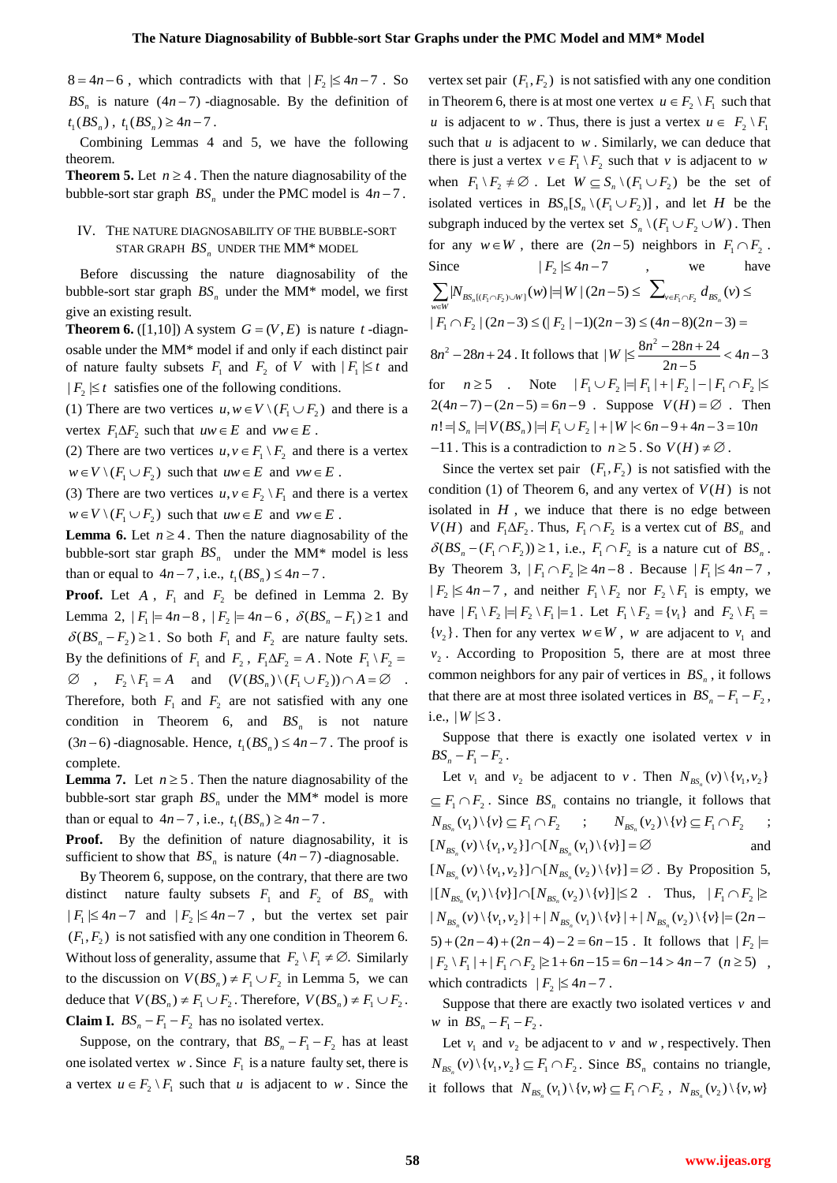$8 = 4n - 6$ , which contradicts with that  $|F_2| \le 4n - 7$ . So  $BS_n$  is nature  $(4n-7)$  -diagnosable. By the definition of  $t_1(BS_n)$ ,  $t_1(BS_n) \ge 4n-7$ .

Combining Lemmas 4 and 5, we have the following theorem.

**Theorem 5.** Let  $n \geq 4$ . Then the nature diagnosability of the bubble-sort star graph  $BS_n$  under the PMC model is  $4n - 7$ .

# IV. THE NATURE DIAGNOSABILITY OF THE BUBBLE-SORT STAR GRAPH  $BS_n$  under the MM\* model

Before discussing the nature diagnosability of the bubble-sort star graph  $BS_n$  under the MM\* model, we first give an existing result.

**Theorem 6.** ([1,10]) A system  $G = (V, E)$  is nature t -diagnosable under the MM\* model if and only if each distinct pair of nature faulty subsets  $F_1$  and  $F_2$  of V with  $|F_1| \le t$  and  $|F_2| \leq t$  satisfies one of the following conditions.

(1) There are two vertices  $u, w \in V \setminus (F_1 \cup F_2)$  and there is a vertex  $F_1 \Delta F_2$  such that  $uw \in E$  and  $vw \in E$ .

(2) There are two vertices  $u, v \in F_1 \backslash F_2$  and there is a vertex  $w \in V \setminus (F_1 \cup F_2)$  such that  $uw \in E$  and  $vw \in E$ .

(3) There are two vertices  $u, v \in F_2 \setminus F_1$  and there is a vertex  $w \in V \setminus (F_1 \cup F_2)$  such that  $uw \in E$  and  $vw \in E$ .

**Lemma 6.** Let  $n \geq 4$ . Then the nature diagnosability of the bubble-sort star graph  $BS_n$  under the MM\* model is less than or equal to  $4n-7$ , i.e.,  $t_1(BS_n) \le 4n-7$ .

**Proof.** Let  $A$ ,  $F_1$  and  $F_2$  be defined in Lemma 2. By Lemma 2,  $|F_1| = 4n-8$ ,  $|F_2| = 4n-6$ ,  $\delta(BS_n - F_1) \ge 1$  and  $\delta (BS_n - F_2) \ge 1$ . So both  $F_1$  and  $F_2$  are nature faulty sets. By the definitions of  $F_1$  and  $F_2$ ,  $F_1 \Delta F_2 = A$ . Note  $F_1 \setminus F_2 = A$  $\emptyset$ ,  $F_2 \setminus F_1 = A$  and  $(V(BS_n) \setminus (F_1 \cup F_2)) \cap A = \emptyset$ . Therefore, both  $F_1$  and  $F_2$  are not satisfied with any one condition in Theorem 6, and  $BS_n$  is not nature  $(3n-6)$ -diagnosable. Hence,  $t_1(BS_n) \le 4n-7$ . The proof is complete.

**Lemma 7.** Let  $n \ge 5$ . Then the nature diagnosability of the bubble-sort star graph  $BS_n$  under the MM\* model is more than or equal to  $4n-7$ , i.e.,  $t_1(BS_n) \ge 4n-7$ .

**Proof.** By the definition of nature diagnosability, it is sufficient to show that  $BS_n$  is nature  $(4n-7)$ -diagnosable.

By Theorem 6, suppose, on the contrary, that there are two distinct nature faulty subsets  $F_1$  and  $F_2$  of  $BS_n$  with  $|F_1| \leq 4n-7$  and  $|F_2| \leq 4n-7$ , but the vertex set pair  $(F_1, F_2)$  is not satisfied with any one condition in Theorem 6. Without loss of generality, assume that  $F_2 \setminus F_1 \neq \emptyset$ . Similarly to the discussion on  $V(BS_n) \neq F_1 \cup F_2$  in Lemma 5, we can deduce that  $V(BS_n) \neq F_1 \cup F_2$ . Therefore,  $V(BS_n) \neq F_1 \cup F_2$ . **Claim I.**  $BS_n - F_1 - F_2$  has no isolated vertex.

Suppose, on the contrary, that  $BS_n - F_1 - F_2$  has at least one isolated vertex  $w$ . Since  $F_1$  is a nature faulty set, there is a vertex  $u \in F_2 \setminus F_1$  such that *u* is adjacent to *w*. Since the

vertex set pair  $(F_1, F_2)$  is not satisfied with any one condition in Theorem 6, there is at most one vertex  $u \in F_2 \setminus F_1$  such that *u* is adjacent to *w*. Thus, there is just a vertex  $u \in F_2 \setminus F_1$ such that  $u$  is adjacent to  $w$ . Similarly, we can deduce that there is just a vertex  $v \in F_1 \backslash F_2$  such that v is adjacent to w when  $F_1 \setminus F_2 \neq \emptyset$ . Let  $W \subseteq S_n \setminus (F_1 \cup F_2)$  be the set of isolated vertices in  $BS_n[S_n \setminus (F_1 \cup F_2)]$ , and let *H* be the subgraph induced by the vertex set  $S_n \setminus (F_1 \cup F_2 \cup W)$ . Then for any  $w \in W$ , there are  $(2n-5)$  neighbors in  $F_1 \cap F_2$ . Since  $|F_2| \leq 4n - 7$ , we have Since  $|F_2| \le 4n-7$ , we have<br>  $\sum_{w \in W} |N_{BS_n[(F_1 \cap F_2) \cup W]}(w)| = |W|(2n-5)$  ≤  $\sum_{v \in F_1 \cap F_2} d_{BS_n}(v)$  ≤  $|F_1 \cap F_2| (2n-3) \leq (|F_2| - 1)(2n-3) \leq (4n-8)(2n-3) =$  $8n^2 - 28n + 24$ . It follows that  $|W| \le \frac{8n^2 - 28n + 24}{2n - 5} < 4n - 3$  $\leq \frac{8n^2-28n+24}{2n-5} < 4n-3$ for  $n \ge 5$  . Note for  $n \ge 5$  . Note  $|F_1 \cup F_2| = |F_1| + |F_2| - |F_1 \cap F_2| \le$ <br>2(4*n*-7) – (2*n*-5) = 6*n*-9 . Suppose  $V(H) = \emptyset$  . Then  $V(H) = \emptyset$ . Then  $2(4n-7) - (2n-5) = 6n-9$ . Suppose  $V(H) = \emptyset$ . Then<br>  $n! = |S_n| = |V(BS_n)| = |F_1 \cup F_2| + |W| < 6n-9+4n-3 = 10n$ 

Since the vertex set pair  $(F_1, F_2)$  is not satisfied with the condition (1) of Theorem 6, and any vertex of  $V(H)$  is not isolated in  $H$ , we induce that there is no edge between  $V(H)$  and  $F_1 \Delta F_2$ . Thus,  $F_1 \cap F_2$  is a vertex cut of  $BS_n$  and  $\delta (BS_n - (F_1 \cap F_2)) \ge 1$ , i.e.,  $F_1 \cap F_2$  is a nature cut of  $BS_n$ . By Theorem 3,  $|F_1 \cap F_2| \ge 4n-8$ . Because  $|F_1| \le 4n-7$ ,  $|F_2| \leq 4n-7$ , and neither  $F_1 \setminus F_2$  nor  $F_2 \setminus F_1$  is empty, we have  $|F_1 \setminus F_2| = |F_2 \setminus F_1| = 1$ . Let  $F_1 \setminus F_2 = \{v_1\}$  and  $F_2 \setminus F_1 =$  $\{v_2\}$ . Then for any vertex  $w \in W$ , w are adjacent to  $v_1$  and  $v_2$ . According to Proposition 5, there are at most three common neighbors for any pair of vertices in *BS<sup>n</sup>* , it follows that there are at most three isolated vertices in  $BS_n - F_1 - F_2$ , i.e.,  $|W| \leq 3$ .

 $-11$ . This is a contradiction to  $n \ge 5$ . So  $V(H) \ne \emptyset$ .

Suppose that there is exactly one isolated vertex  $v$  in  $BS_n - F_1 - F_2$ .

Let  $v_1$  and  $v_2$  be adjacent to  $v$ . Then  $N_{BS_n}(v) \setminus \{v_1, v_2\}$  $\subseteq F_1 \cap F_2$ . Since  $BS_n$  contains no triangle, it follows that  $N_{BS_n}(v_1) \setminus \{v\} \subseteq F_1 \cap F_2$  ;  $N_{BS_n}(v_2) \setminus \{v\} \subseteq F_1 \cap F_2$ ;  $\begin{aligned} N_{BS_n} (v_1) \setminus (v) &\subseteq I_1 \cup I_2 \quad , \qquad N_{BS_n} (v_2) \setminus N_{BS_n} (v) \setminus \{v_1, v_2\} \big] \cap [N_{BS_n} (v_1) \setminus \{v\}] = \varnothing \end{aligned}$ and  $[N_{BS_n}(v) \setminus \{v_1, v_2\}] \cap [N_{BS_n}(v_1) \setminus \{v\}] = \emptyset$ . By Proposition 5,<br> $[N_{BS_n}(v) \setminus \{v_1, v_2\}] \cap [N_{BS_n}(v_2) \setminus \{v\}] = \emptyset$ . By Proposition 5,  $\begin{aligned} |[N_{BS_n}(v_1) \setminus \{v\}] \cap [N_{BS_n}(v_2) \setminus \{v\}]| \leq 2 \quad \text{Thus,} \quad |F_1 \cap F_2| \geq |N_{BS_n}(v_1) \setminus \{v\}| \cap [N_{BS_n}(v_2) \setminus \{v\}]| \leq 2 \quad \text{Thus,} \quad |F_1 \cap F_2| \geq |N_{BS_n}(v) \setminus \{v_1, v_2\}| + |N_{BS_n}(v_1) \setminus \{v\}| + |N_{BS_n}(v_2) \setminus \{v\}| = (2n-5) + (2n-4) + (2n-4$ . It follows that  $|F_2|$  $|F_{2} \setminus F_{1}| + |F_{1} \cap F_{2}| \geq 1 + 6n - 15 = 6n - 14 > 4n - 7$   $(n \geq 5)$ which contradicts  $|F_2| \leq 4n - 7$ .

Suppose that there are exactly two isolated vertices  $v$  and *w* in  $BS_n - F_1 - F_2$ .

Let  $v_1$  and  $v_2$  be adjacent to v and w, respectively. Then  $N_{BS_n}(v) \setminus \{v_1, v_2\} \subseteq F_1 \cap F_2$ . Since  $BS_n$  contains no triangle, it follows that  $N_{BS_n}(v_1) \setminus \{v, w\} \subseteq F_1 \cap F_2$ ,  $N_{BS_n}(v_2) \setminus \{v, w\}$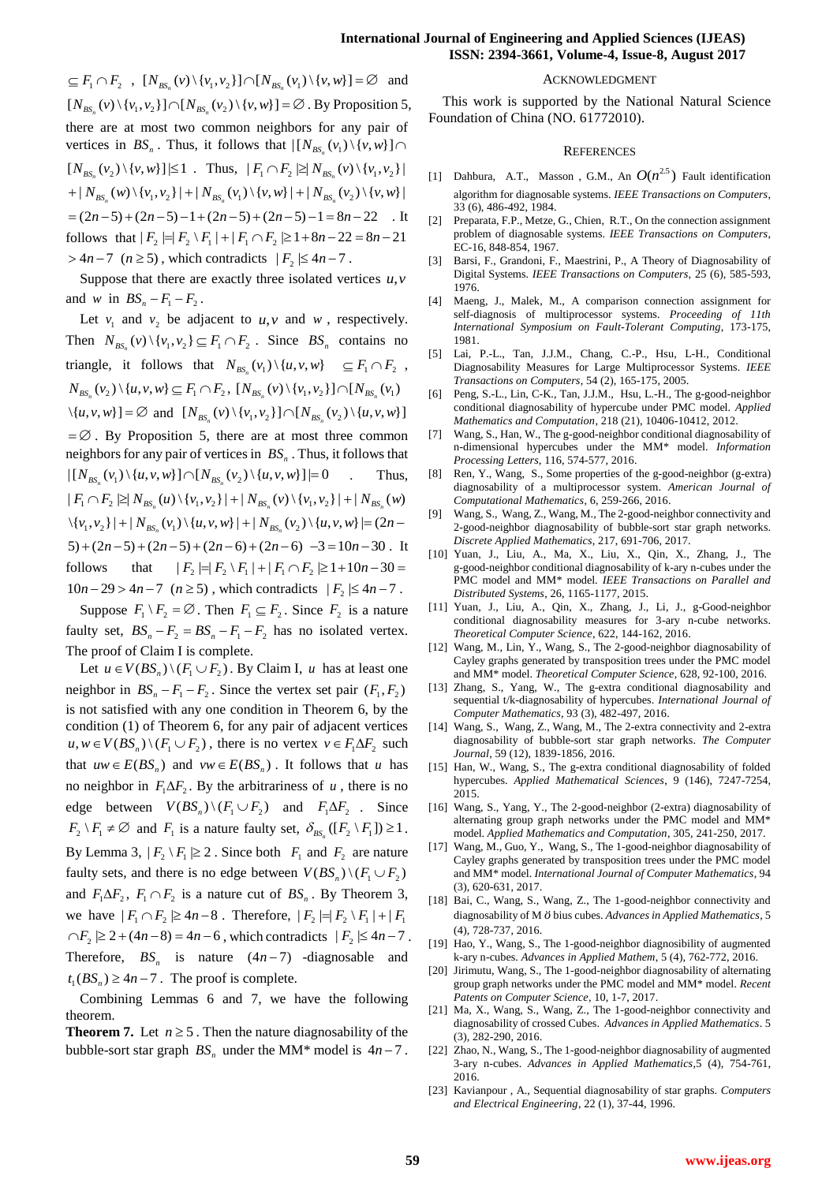$\subseteq F_1 \cap F_2$ ,  $[N_{BS_n}(v) \setminus \{v_1, v_2\}] \cap [N_{BS_n}(v_1) \setminus \{v, w\}] = \emptyset$  and  $\subseteq F_1 \cap F_2$ ,  $\cong \dots \cong F_1 \cap F_2$ ,  $\cong \dots \cong F_1 \cap F_2$ <br>  $[N_{BS_n}(v) \setminus \{v_1, v_2\}] \cap [N_{BS_n}(v_2) \setminus \{v, w\}] = \emptyset$ . By Proposition 5, there are at most two common neighbors for any pair of vertices in  $BS_n$ . Thus, it follows that  $\left[ \left[ N_{BS_n}(v_1) \setminus \{v, w\} \right] \right]$  $[N_{BS_n}(v_2) \setminus \{v, w\}] \le 1$  . Thus,  $|F_1 \cap F_2| \ge |N_{BS_n}(v) \setminus \{v_1, v_2\}|$  $[N_{BS_n}(v_2) \setminus \{v, w\}] \le 1$  . Thus,  $|F_1 \cap F_2 \ge N_{BS_n}(v) \setminus \{v_1, v_2\}| + |N_{BS_n}(w) \setminus \{v_1, v_2\}| + |N_{BS_n}(v_1) \setminus \{v, w\}| + |N_{BS_n}(v_2) \setminus \{v, w\}| = (2n-5) + (2n-5) - 1 + (2n-5) + (2n-5) - 1 = 8n - 22$ . I  $=(2n-5)+(2n-5)-1+(2n-5)+(2n-5)-1=8n-22$  . It  $= (2n-5) + (2n-5) - 1 + (2n-5) + (2n-5) - 1 = 8n - 22$  . It<br>follows that  $|F_2| = |F_2 \setminus F_1| + |F_1 \cap F_2| \ge 1 + 8n - 22 = 8n - 21$  $> 4n-7$  ( $n \ge 5$ ), which contradicts  $|F_2| \le 4n-7$ .

Suppose that there are exactly three isolated vertices  $u, v$ and *w* in  $BS_n - F_1 - F_2$ .

Let  $v_1$  and  $v_2$  be adjacent to  $u, v$  and  $w$ , respectively. Then  $N_{BS_n}(v) \setminus \{v_1, v_2\} \subseteq F_1 \cap F_2$ . Since  $BS_n$  contains no triangle, it follows that  $N_{BS_n}(v_1) \setminus \{u, v, w\} \subseteq F_1 \cap F_2$ ,  $N_{BS_n}(v_2) \setminus \{u, v, w\} \subseteq F_1 \cap F_2$ ,  $N_{BS_n}(v) \setminus \{v_1, v_2\} \cap [N_{BS_n}(v_1)]$ \{ , , }] *u v w* and 1 2 2 [ ( ) \{ , }] [ ( ) \{ , , }] *BS BS n n N v v v N v u v w*  $=\emptyset$ . By Proposition 5, there are at most three common neighbors for any pair of vertices in *BS<sup>n</sup>* . Thus, it follows that neighbors for any pair of vertices in  $BS_n$ . Thus, it follows that  $\left| \left[ N_{BS_n}(v_1) \setminus \{u, v, w\} \right] \cap \left[ N_{BS_n}(v_2) \setminus \{u, v, w\} \right] \right| = 0$  Thus,  $| [N_{_{BS_n}}(v_1) \setminus {u, v, w}] \cap [N_{_{BS_n}}(v_2) \setminus {u, v, w}] | = 0$  . Thus<br>  $| F_1 \cap F_2 \geq | N_{_{BS_n}}(u) \setminus {v_1, v_2}| + | N_{_{BS_n}}(v) \setminus {v_1, v_2}| + | N_{_{BS_n}}(w)$ <br>  $\setminus {v_1, v_2}| + | N_{_{BS_n}}(v_1) \setminus {u, v, w}| + | N_{_{BS_n}}(v_2) \setminus {u, v, w}| = (2n |F_1 \cap F_2 \geq |N_{BS_n}(u) \setminus \{v_1, v_2\}| + |N_{BS_n}(v) \setminus \{v_1, v_2\}| + |N_{BS_n}(w)$ <br>  $\set{v_1, v_2}| + |N_{BS_n}(v_1) \set{u, v, w}| + |N_{BS_n}(v_2) \set{u, v, w}| = (2n - 5) + (2n - 5) + (2n - 5) + (2n - 6) + (2n - 6) - 3 = 10n - 30$ . It  $5)+(2n-5)+(2n-5)+(2n-6)+(2n-6) -3=10n-30$ . It follows that 2 3 + (2n - 3) + (2n - 3) + (2n - 6) + (2n - 6) - 3 = 10n - 30 . It<br>
follows that  $|F_2| = |F_2 \setminus F_1| + |F_1 \cap F_2| \ge 1 + 10n - 30 =$ <br>  $10n - 29 > 4n - 7$  ( $n \ge 5$ ), which contradicts  $|F_2| \le 4n - 7$ .

Suppose  $F_1 \setminus F_2 = \emptyset$ . Then  $F_1 \subseteq F_2$ . Since  $F_2$  is a nature faulty set,  $BS_n - F_2 = BS_n - F_1 - F_2$  has no isolated vertex. The proof of Claim I is complete.

Let  $u \in V(BS_n) \setminus (F_1 \cup F_2)$ . By Claim I, u has at least one neighbor in  $BS_n - F_1 - F_2$ . Since the vertex set pair  $(F_1, F_2)$ is not satisfied with any one condition in Theorem 6, by the condition (1) of Theorem 6, for any pair of adjacent vertices  $u, w \in V(BS_n) \setminus (F_1 \cup F_2)$ , there is no vertex  $v \in F_1 \Delta F_2$  such that  $uw \in E(BS_n)$  and  $vw \in E(BS_n)$ . It follows that *u* has no neighbor in  $F_1 \Delta F_2$ . By the arbitrariness of *u*, there is no edge between  $V(BS_n) \setminus (F_1 \cup F_2)$  and  $F_1 \Delta F_2$ . Since  $F_2 \setminus F_1 \neq \emptyset$  and  $F_1$  is a nature faulty set,  $\delta_{BS_n}([F_2 \setminus F_1]) \geq 1$ . By Lemma 3,  $|F_2 \setminus F_1| \ge 2$ . Since both  $F_1$  and  $F_2$  are nature faulty sets, and there is no edge between  $V(BS_n) \setminus (F_1 \cup F_2)$ and  $F_1 \Delta F_2$ ,  $F_1 \cap F_2$  is a nature cut of  $BS_n$ . By Theorem 3, we have  $|F_1 \cap F_2| \ge 4n-8$ . Therefore,  $|F_2| = |F_2 \setminus F_1| + |F_1|$  $\cap F_2 \geq 2 + (4n-8) = 4n-6$ , which contradicts  $|F_2| \leq 4n-7$ . Therefore,  $BS_n$  is nature  $(4n-7)$  -diagnosable and  $t_1(BS_n) \ge 4n - 7$ . The proof is complete.

Combining Lemmas 6 and 7, we have the following theorem.

**Theorem 7.** Let  $n \ge 5$ . Then the nature diagnosability of the bubble-sort star graph  $BS_n$  under the MM\* model is  $4n - 7$ .

#### ACKNOWLEDGMENT

This work is supported by the National Natural Science Foundation of China (NO. 61772010).

#### **REFERENCES**

- [1] Dahbura, A.T., Masson, G.M., An  $O(n^{2.5})$  Fault identification algorithm for diagnosable systems. *IEEE Transactions on Computers*, 33 (6), 486-492, 1984.
- [2] Preparata, F.P., Metze, G., Chien, R.T., On the connection assignment problem of diagnosable systems. *IEEE Transactions on Computers*, EC-16, 848-854, 1967.
- [3] Barsi, F., Grandoni, F., Maestrini, P., A Theory of Diagnosability of Digital Systems. *IEEE Transactions on Computers*, 25 (6), 585-593, 1976.
- [4] Maeng, J., Malek, M., A comparison connection assignment for self-diagnosis of multiprocessor systems. *Proceeding of 11th International Symposium on Fault-Tolerant Computing*, 173-175, 1981.
- [5] Lai, P.-L., Tan, J.J.M., Chang, C.-P., Hsu, L-H., Conditional Diagnosability Measures for Large Multiprocessor Systems. *IEEE Transactions on Computers*, 54 (2), 165-175, 2005.
- [6] Peng, S.-L., Lin, C-K., Tan, J.J.M., Hsu, L.-H., The g-good-neighbor conditional diagnosability of hypercube under PMC model. *Applied Mathematics and Computation*, 218 (21), 10406-10412, 2012.
- [7] Wang, S., Han, W., The g-good-neighbor conditional diagnosability of n-dimensional hypercubes under the MM\* model. *Information Processing Letters*, 116, 574-577, 2016.
- [8] Ren, Y., Wang, S., Some properties of the g-good-neighbor (g-extra) diagnosability of a multiprocessor system. *American Journal of Computational Mathematics*, 6, 259-266, 2016.
- [9] Wang, S., Wang, Z., Wang, M., The 2-good-neighbor connectivity and 2-good-neighbor diagnosability of bubble-sort star graph networks. *Discrete Applied Mathematics*, 217, 691-706, 2017.
- [10] Yuan, J., Liu, A., Ma, X., Liu, X., Qin, X., Zhang, J., The g-good-neighbor conditional diagnosability of k-ary n-cubes under the PMC model and MM\* model. *IEEE Transactions on Parallel and Distributed Systems*, 26, 1165-1177, 2015.
- [11] Yuan, J., Liu, A., Qin, X., Zhang, J., Li, J., g-Good-neighbor conditional diagnosability measures for 3-ary n-cube networks. *Theoretical Computer Science*, 622, 144-162, 2016.
- [12] Wang, M., Lin, Y., Wang, S., The 2-good-neighbor diagnosability of Cayley graphs generated by transposition trees under the PMC model and MM\* model. *Theoretical Computer Science*, 628, 92-100, 2016.
- [13] Zhang, S., Yang, W., The g-extra conditional diagnosability and sequential t/k-diagnosability of hypercubes. *International Journal of Computer Mathematics*, 93 (3), 482-497, 2016.
- [14] Wang, S., Wang, Z., Wang, M., The 2-extra connectivity and 2-extra diagnosability of bubble-sort star graph networks. *The Computer Journal*, 59 (12), 1839-1856, 2016.
- [15] Han, W., Wang, S., The g-extra conditional diagnosability of folded hypercubes. *Applied Mathematical Sciences*, 9 (146), 7247-7254, 2015.
- [16] Wang, S., Yang, Y., The 2-good-neighbor (2-extra) diagnosability of alternating group graph networks under the PMC model and MM\* model. *Applied Mathematics and Computation*, 305, 241-250, 2017.
- [17] Wang, M., Guo, Y., Wang, S., The 1-good-neighbor diagnosability of Cayley graphs generated by transposition trees under the PMC model and MM\* model. *International Journal of Computer Mathematics*, 94 (3), 620-631, 2017.
- [18] Bai, C., Wang, S., Wang, Z., The 1-good-neighbor connectivity and diagnosability of M  $\ddot{o}$  bius cubes. Advances in Applied Mathematics, 5 (4), 728-737, 2016.
- [19] Hao, Y., Wang, S., The 1-good-neighbor diagnosibility of augmented k-ary n-cubes. *Advances in Applied Mathem*, 5 (4), 762-772, 2016.
- [20] Jirimutu, Wang, S., The 1-good-neighbor diagnosability of alternating group graph networks under the PMC model and MM\* model. *Recent Patents on Computer Science*, 10, 1-7, 2017.
- [21] Ma, X., Wang, S., Wang, Z., The 1-good-neighbor connectivity and diagnosability of crossed Cubes. *Advances in Applied Mathematics*. 5 (3), 282-290, 2016.
- [22] Zhao, N., Wang, S., The 1-good-neighbor diagnosability of augmented 3-ary n-cubes. *Advances in Applied Mathematics*,5 (4), 754-761, 2016.
- [23] Kavianpour , A., Sequential diagnosability of star graphs. *Computers and Electrical Engineering*, 22 (1), 37-44, 1996.